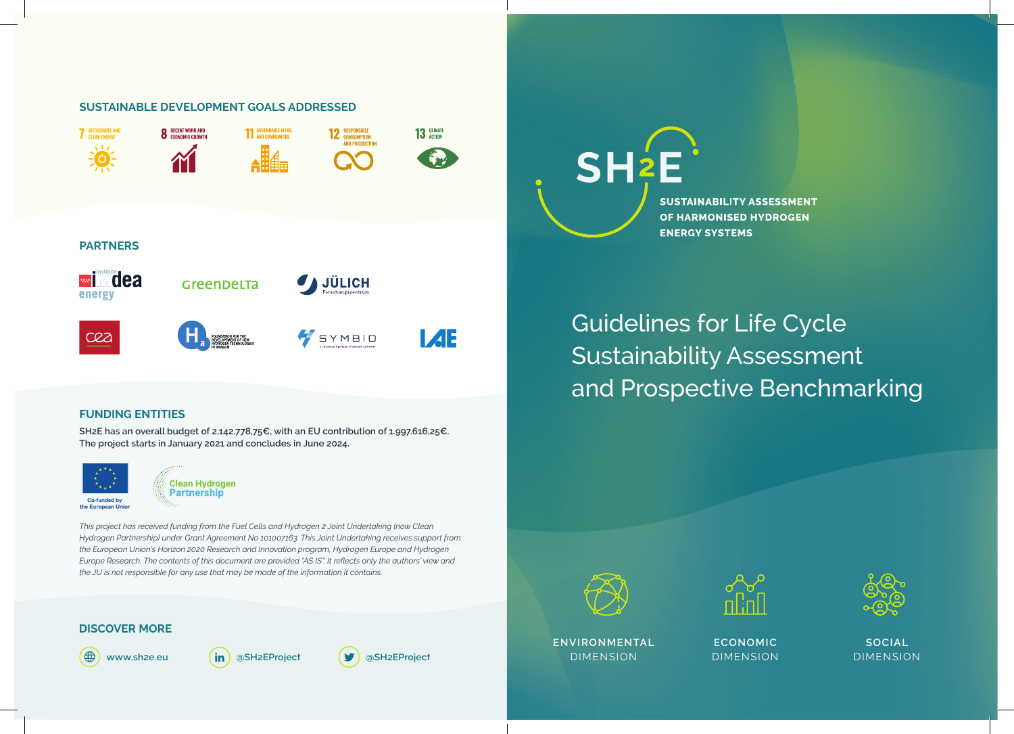# **SUSTAINABLE DEVELOPMENT GOALS ADDRESSED 8** DECENT WORK AND **11 SUSTAINABLE CITTES** 13 GLIMATE **12** RESPONSIBLE **M PARTNERS** <u>wi</u> Mdea JÜLICH GreenDeLTa **I**ZE SYMBIO

## **FUNDING ENTITIES**

**SH2E has an overall budget of 2.142.778,75€, with an EU contribution of 1.997.616,25€. The project starts in January 2021 and concludes in June 2024.**



**7** AFFORDABLE AND

energy

cea

**Clean Hydrogen** Partnership

*This project has received funding from the Fuel Cells and Hydrogen 2 Joint Undertaking (now Clean Hydrogen Partnership) under Grant Agreement No 101007163. This Joint Undertaking receives support from the European Union's Horizon 2020 Research and Innovation program, Hydrogen Europe and Hydrogen Europe Research. The contents of this document are provided "AS IS". It reflects only the authors' view and the JU is not responsible for any use that may be made of the information it contains.*

## **DISCOVER MORE**











**ENVIRONMENTAL** DIMENSION

 $SH<sub>2</sub>E$ 

**ECONOMIC** DIMENSION



**SOCIAL** DIMENSION

Guidelines for Life Cycle Sustainability Assessment and Prospective Benchmarking

OF HARMONISED HYDROGEN **ENERGY SYSTEMS** 

**SUSTAINABILITY ASSESSMENT**